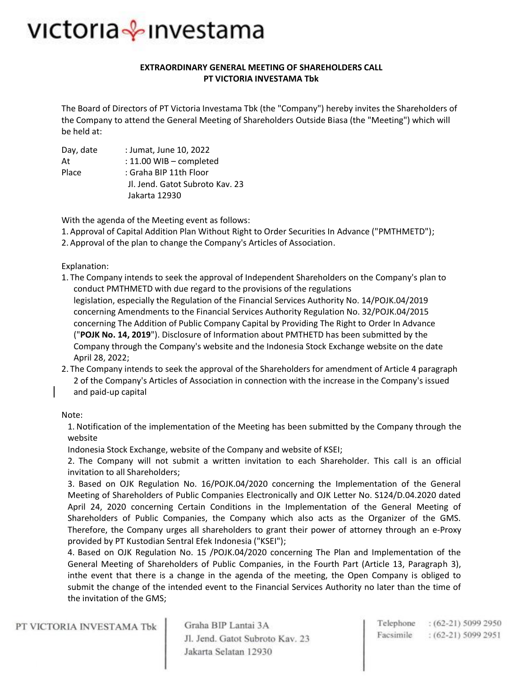#### **EXTRAORDINARY GENERAL MEETING OF SHAREHOLDERS CALL PT VICTORIA INVESTAMA Tbk**

The Board of Directors of PT Victoria Investama Tbk (the "Company") hereby invites the Shareholders of the Company to attend the General Meeting of Shareholders Outside Biasa (the "Meeting") which will be held at:

| Day, date | : Jumat, June 10, 2022          |
|-----------|---------------------------------|
| At        | : 11.00 WIB - completed         |
| Place     | : Graha BIP 11th Floor          |
|           | Jl. Jend. Gatot Subroto Kav. 23 |

Jakarta 12930

With the agenda of the Meeting event as follows:

- 1. Approval of Capital Addition Plan Without Right to Order Securities In Advance ("PMTHMETD");
- 2. Approval of the plan to change the Company's Articles of Association.

Explanation:

- 1. The Company intends to seek the approval of Independent Shareholders on the Company's plan to conduct PMTHMETD with due regard to the provisions of the regulations legislation, especially the Regulation of the Financial Services Authority No. 14/POJK.04/2019 concerning Amendments to the Financial Services Authority Regulation No. 32/POJK.04/2015 concerning The Addition of Public Company Capital by Providing The Right to Order In Advance ("**POJK No. 14, 2019**"). Disclosure of Information about PMTHETD has been submitted by the Company through the Company's website and the Indonesia Stock Exchange website on the date April 28, 2022;
- 2. The Company intends to seek the approval of the Shareholders for amendment of Article 4 paragraph 2 of the Company's Articles of Association in connection with the increase in the Company's issued and paid-up capital

#### Note:

1. Notification of the implementation of the Meeting has been submitted by the Company through the website

Indonesia Stock Exchange, website of the Company and website of KSEI;

2. The Company will not submit a written invitation to each Shareholder. This call is an official invitation to all Shareholders;

3. Based on OJK Regulation No. 16/POJK.04/2020 concerning the Implementation of the General Meeting of Shareholders of Public Companies Electronically and OJK Letter No. S124/D.04.2020 dated April 24, 2020 concerning Certain Conditions in the Implementation of the General Meeting of Shareholders of Public Companies, the Company which also acts as the Organizer of the GMS. Therefore, the Company urges all shareholders to grant their power of attorney through an e-Proxy provided by PT Kustodian Sentral Efek Indonesia ("KSEI");

4. Based on OJK Regulation No. 15 /POJK.04/2020 concerning The Plan and Implementation of the General Meeting of Shareholders of Public Companies, in the Fourth Part (Article 13, Paragraph 3), inthe event that there is a change in the agenda of the meeting, the Open Company is obliged to submit the change of the intended event to the Financial Services Authority no later than the time of the invitation of the GMS;

PT VICTORIA INVESTAMA Tbk

Graha BIP Lantai 3A Jl. Jend. Gatot Subroto Kav. 23 Jakarta Selatan 12930

Telephone : (62-21) 5099 2950 Facsimile  $(62-21)$  5099 2951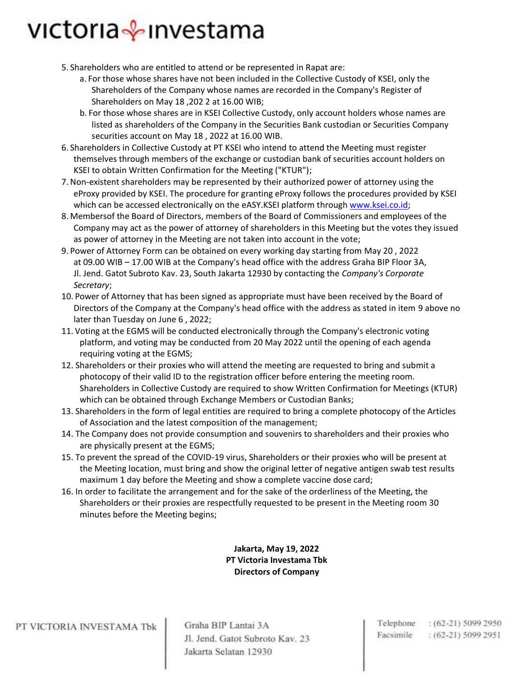- 5. Shareholders who are entitled to attend or be represented in Rapat are:
	- a. For those whose shares have not been included in the Collective Custody of KSEI, only the Shareholders of the Company whose names are recorded in the Company's Register of Shareholders on May 18 ,202 2 at 16.00 WIB;
	- b. For those whose shares are in KSEI Collective Custody, only account holders whose names are listed as shareholders of the Company in the Securities Bank custodian or Securities Company securities account on May 18 , 2022 at 16.00 WIB.
- 6. Shareholders in Collective Custody at PT KSEI who intend to attend the Meeting must register themselves through members of the exchange or custodian bank of securities account holders on KSEI to obtain Written Confirmation for the Meeting ("KTUR");
- 7. Non-existent shareholders may be represented by their authorized power of attorney using the eProxy provided by KSEI. The procedure for granting eProxy follows the procedures provided by KSEI which can be accessed electronically on the eASY.KSEI platform throug[h www.ksei.co.id;](http://www.ksei.co.id/)
- 8. Membersof the Board of Directors, members of the Board of Commissioners and employees of the Company may act as the power of attorney of shareholders in this Meeting but the votes they issued as power of attorney in the Meeting are not taken into account in the vote;
- 9. Power of Attorney Form can be obtained on every working day starting from May 20 , 2022 at 09.00 WIB – 17.00 WIB at the Company's head office with the address Graha BIP Floor 3A, Jl. Jend. Gatot Subroto Kav. 23, South Jakarta 12930 by contacting the *Company's Corporate Secretary*;
- 10. Power of Attorney that has been signed as appropriate must have been received by the Board of Directors of the Company at the Company's head office with the address as stated in item 9 above no later than Tuesday on June 6 , 2022;
- 11. Voting at the EGMS will be conducted electronically through the Company's electronic voting platform, and voting may be conducted from 20 May 2022 until the opening of each agenda requiring voting at the EGMS;
- 12. Shareholders or their proxies who will attend the meeting are requested to bring and submit a photocopy of their valid ID to the registration officer before entering the meeting room. Shareholders in Collective Custody are required to show Written Confirmation for Meetings (KTUR) which can be obtained through Exchange Members or Custodian Banks;
- 13. Shareholders in the form of legal entities are required to bring a complete photocopy of the Articles of Association and the latest composition of the management;
- 14. The Company does not provide consumption and souvenirs to shareholders and their proxies who are physically present at the EGMS;
- 15. To prevent the spread of the COVID-19 virus, Shareholders or their proxies who will be present at the Meeting location, must bring and show the original letter of negative antigen swab test results maximum 1 day before the Meeting and show a complete vaccine dose card;
- 16. In order to facilitate the arrangement and for the sake of the orderliness of the Meeting, the Shareholders or their proxies are respectfully requested to be present in the Meeting room 30 minutes before the Meeting begins;

**Jakarta, May 19, 2022 PT Victoria Investama Tbk Directors of Company**

PT VICTORIA INVESTAMA Tbk

Graha BIP Lantai 3A Jl. Jend. Gatot Subroto Kav. 23 Jakarta Selatan 12930

Telephone : (62-21) 5099 2950 Facsimile  $(62-21)$  5099 2951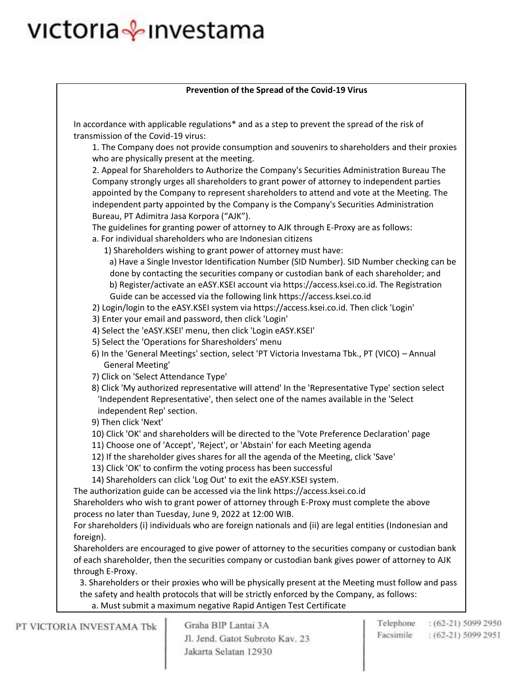#### **Prevention of the Spread of the Covid-19 Virus**

In accordance with applicable regulations\* and as a step to prevent the spread of the risk of transmission of the Covid-19 virus:

1. The Company does not provide consumption and souvenirs to shareholders and their proxies who are physically present at the meeting.

2. Appeal for Shareholders to Authorize the Company's Securities Administration Bureau The Company strongly urges all shareholders to grant power of attorney to independent parties appointed by the Company to represent shareholders to attend and vote at the Meeting. The independent party appointed by the Company is the Company's Securities Administration Bureau, PT Adimitra Jasa Korpora ("AJK").

The guidelines for granting power of attorney to AJK through E-Proxy are as follows:

- a. For individual shareholders who are Indonesian citizens
	- 1) Shareholders wishing to grant power of attorney must have:

a) Have a Single Investor Identification Number (SID Number). SID Number checking can be done by contacting the securities company or custodian bank of each shareholder; and b) Register/activate an eASY.KSEI account via https://access.ksei.co.id. The Registration Guide can be accessed via the following link https://access.ksei.co.id

- 2) Login/login to the eASY.KSEI system via https://access.ksei.co.id. Then click 'Login'
- 3) Enter your email and password, then click 'Login'
- 4) Select the 'eASY.KSEI' menu, then click 'Login eASY.KSEI'
- 5) Select the 'Operations for Sharesholders' menu
- 6) In the 'General Meetings' section, select 'PT Victoria Investama Tbk., PT (VICO) Annual General Meeting'
- 7) Click on 'Select Attendance Type'
- 8) Click 'My authorized representative will attend' In the 'Representative Type' section select 'Independent Representative', then select one of the names available in the 'Select independent Rep' section.
- 9) Then click 'Next'
- 10) Click 'OK' and shareholders will be directed to the 'Vote Preference Declaration' page
- 11) Choose one of 'Accept', 'Reject', or 'Abstain' for each Meeting agenda
- 12) If the shareholder gives shares for all the agenda of the Meeting, click 'Save'
- 13) Click 'OK' to confirm the voting process has been successful
- 14) Shareholders can click 'Log Out' to exit the eASY.KSEI system.

The authorization guide can be accessed via the link https://access.ksei.co.id Shareholders who wish to grant power of attorney through E-Proxy must complete the above

process no later than Tuesday, June 9, 2022 at 12:00 WIB.

For shareholders (i) individuals who are foreign nationals and (ii) are legal entities (Indonesian and foreign).

Shareholders are encouraged to give power of attorney to the securities company or custodian bank of each shareholder, then the securities company or custodian bank gives power of attorney to AJK through E-Proxy.

3. Shareholders or their proxies who will be physically present at the Meeting must follow and pass the safety and health protocols that will be strictly enforced by the Company, as follows: a. Must submit a maximum negative Rapid Antigen Test Certificate

PT VICTORIA INVESTAMA Tbk

Graha BIP Lantai 3A Jl. Jend. Gatot Subroto Kav. 23 Jakarta Selatan 12930